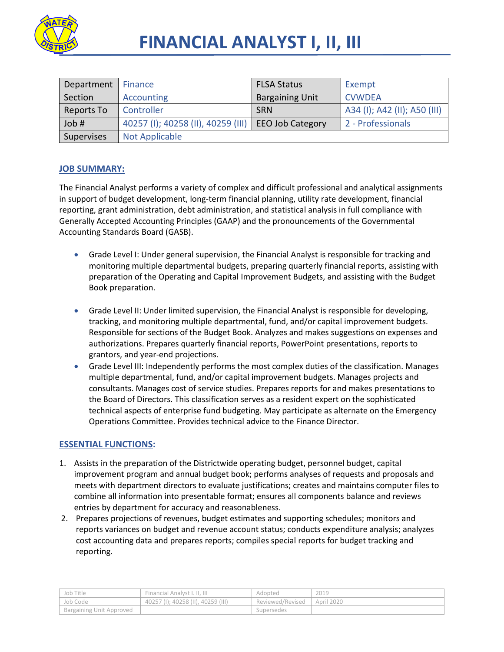

| Department | <b>Finance</b>                     | <b>FLSA Status</b>      | Exempt                       |
|------------|------------------------------------|-------------------------|------------------------------|
| Section    | Accounting                         | <b>Bargaining Unit</b>  | <b>CVWDEA</b>                |
| Reports To | Controller                         | <b>SRN</b>              | A34 (I); A42 (II); A50 (III) |
| Job #      | 40257 (I); 40258 (II), 40259 (III) | <b>EEO Job Category</b> | 2 - Professionals            |
| Supervises | <b>Not Applicable</b>              |                         |                              |

## **JOB SUMMARY:**

The Financial Analyst performs a variety of complex and difficult professional and analytical assignments in support of budget development, long-term financial planning, utility rate development, financial reporting, grant administration, debt administration, and statistical analysis in full compliance with Generally Accepted Accounting Principles (GAAP) and the pronouncements of the Governmental Accounting Standards Board (GASB).

- Grade Level I: Under general supervision, the Financial Analyst is responsible for tracking and monitoring multiple departmental budgets, preparing quarterly financial reports, assisting with preparation of the Operating and Capital Improvement Budgets, and assisting with the Budget Book preparation.
- Grade Level II: Under limited supervision, the Financial Analyst is responsible for developing, tracking, and monitoring multiple departmental, fund, and/or capital improvement budgets. Responsible for sections of the Budget Book. Analyzes and makes suggestions on expenses and authorizations. Prepares quarterly financial reports, PowerPoint presentations, reports to grantors, and year-end projections.
- Grade Level III: Independently performs the most complex duties of the classification. Manages multiple departmental, fund, and/or capital improvement budgets. Manages projects and consultants. Manages cost of service studies. Prepares reports for and makes presentations to the Board of Directors. This classification serves as a resident expert on the sophisticated technical aspects of enterprise fund budgeting. May participate as alternate on the Emergency Operations Committee. Provides technical advice to the Finance Director.

## **ESSENTIAL FUNCTIONS:**

- 1. Assists in the preparation of the Districtwide operating budget, personnel budget, capital improvement program and annual budget book; performs analyses of requests and proposals and meets with department directors to evaluate justifications; creates and maintains computer files to combine all information into presentable format; ensures all components balance and reviews entries by department for accuracy and reasonableness.
- 2. Prepares projections of revenues, budget estimates and supporting schedules; monitors and reports variances on budget and revenue account status; conducts expenditure analysis; analyzes cost accounting data and prepares reports; compiles special reports for budget tracking and reporting.

| Job Title                       | Financial Analyst I. II. III       | Adopted          | 2019       |
|---------------------------------|------------------------------------|------------------|------------|
| Job Code                        | 40257 (I): 40258 (II). 40259 (III) | Reviewed/Revised | April 2020 |
| <b>Bargaining Unit Approved</b> |                                    | Supersedes       |            |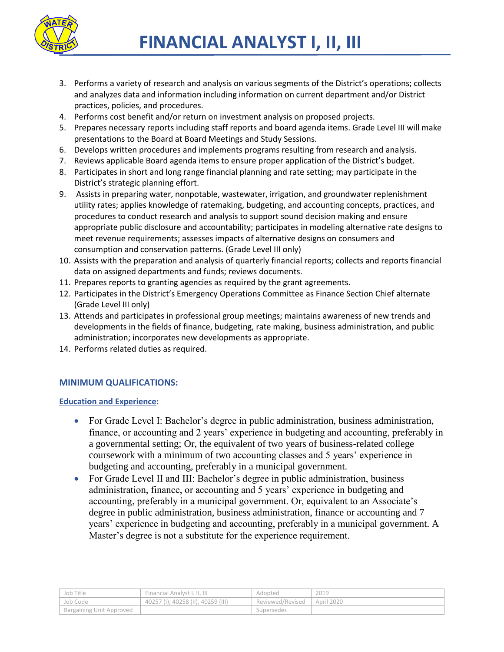

- 3. Performs a variety of research and analysis on various segments of the District's operations; collects and analyzes data and information including information on current department and/or District practices, policies, and procedures.
- 4. Performs cost benefit and/or return on investment analysis on proposed projects.
- 5. Prepares necessary reports including staff reports and board agenda items. Grade Level III will make presentations to the Board at Board Meetings and Study Sessions.
- 6. Develops written procedures and implements programs resulting from research and analysis.
- 7. Reviews applicable Board agenda items to ensure proper application of the District's budget.
- 8. Participates in short and long range financial planning and rate setting; may participate in the District's strategic planning effort.
- 9. Assists in preparing water, nonpotable, wastewater, irrigation, and groundwater replenishment utility rates; applies knowledge of ratemaking, budgeting, and accounting concepts, practices, and procedures to conduct research and analysis to support sound decision making and ensure appropriate public disclosure and accountability; participates in modeling alternative rate designs to meet revenue requirements; assesses impacts of alternative designs on consumers and consumption and conservation patterns. (Grade Level III only)
- 10. Assists with the preparation and analysis of quarterly financial reports; collects and reports financial data on assigned departments and funds; reviews documents.
- 11. Prepares reports to granting agencies as required by the grant agreements.
- 12. Participates in the District's Emergency Operations Committee as Finance Section Chief alternate (Grade Level III only)
- 13. Attends and participates in professional group meetings; maintains awareness of new trends and developments in the fields of finance, budgeting, rate making, business administration, and public administration; incorporates new developments as appropriate.
- 14. Performs related duties as required.

## **MINIMUM QUALIFICATIONS:**

#### **Education and Experience:**

- For Grade Level I: Bachelor's degree in public administration, business administration, finance, or accounting and 2 years' experience in budgeting and accounting, preferably in a governmental setting; Or, the equivalent of two years of business-related college coursework with a minimum of two accounting classes and 5 years' experience in budgeting and accounting, preferably in a municipal government.
- For Grade Level II and III: Bachelor's degree in public administration, business administration, finance, or accounting and 5 years' experience in budgeting and accounting, preferably in a municipal government. Or, equivalent to an Associate's degree in public administration, business administration, finance or accounting and 7 years' experience in budgeting and accounting, preferably in a municipal government. A Master's degree is not a substitute for the experience requirement.

| Job Title                | Financial Analyst I. II. III       | Adopted          | 2019       |
|--------------------------|------------------------------------|------------------|------------|
| Job Code                 | 40257 (I); 40258 (II), 40259 (III) | Reviewed/Revised | April 2020 |
| Bargaining Unit Approved |                                    | Supersedes       |            |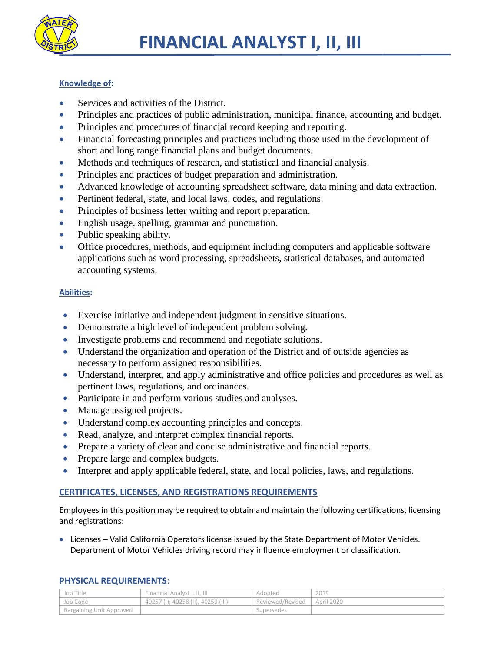

# **Knowledge of:**

- Services and activities of the District.
- Principles and practices of public administration, municipal finance, accounting and budget.
- Principles and procedures of financial record keeping and reporting.
- Financial forecasting principles and practices including those used in the development of short and long range financial plans and budget documents.
- Methods and techniques of research, and statistical and financial analysis.
- Principles and practices of budget preparation and administration.
- Advanced knowledge of accounting spreadsheet software, data mining and data extraction.
- Pertinent federal, state, and local laws, codes, and regulations.
- Principles of business letter writing and report preparation.
- English usage, spelling, grammar and punctuation.
- Public speaking ability.
- Office procedures, methods, and equipment including computers and applicable software applications such as word processing, spreadsheets, statistical databases, and automated accounting systems.

# **Abilities:**

- Exercise initiative and independent judgment in sensitive situations.
- Demonstrate a high level of independent problem solving.
- Investigate problems and recommend and negotiate solutions.
- Understand the organization and operation of the District and of outside agencies as necessary to perform assigned responsibilities.
- Understand, interpret, and apply administrative and office policies and procedures as well as pertinent laws, regulations, and ordinances.
- Participate in and perform various studies and analyses.
- Manage assigned projects.
- Understand complex accounting principles and concepts.
- Read, analyze, and interpret complex financial reports.
- Prepare a variety of clear and concise administrative and financial reports.
- Prepare large and complex budgets.
- Interpret and apply applicable federal, state, and local policies, laws, and regulations.

# **CERTIFICATES, LICENSES, AND REGISTRATIONS REQUIREMENTS**

Employees in this position may be required to obtain and maintain the following certifications, licensing and registrations:

 Licenses – Valid California Operators license issued by the State Department of Motor Vehicles. Department of Motor Vehicles driving record may influence employment or classification.

| Job Title                | Financial Analyst I. II. III       | Adopted          | 2019       |
|--------------------------|------------------------------------|------------------|------------|
| Job Code                 | 40257 (I); 40258 (II), 40259 (III) | Reviewed/Revised | April 2020 |
| Bargaining Unit Approved |                                    | Supersedes       |            |

#### **PHYSICAL REQUIREMENTS**: